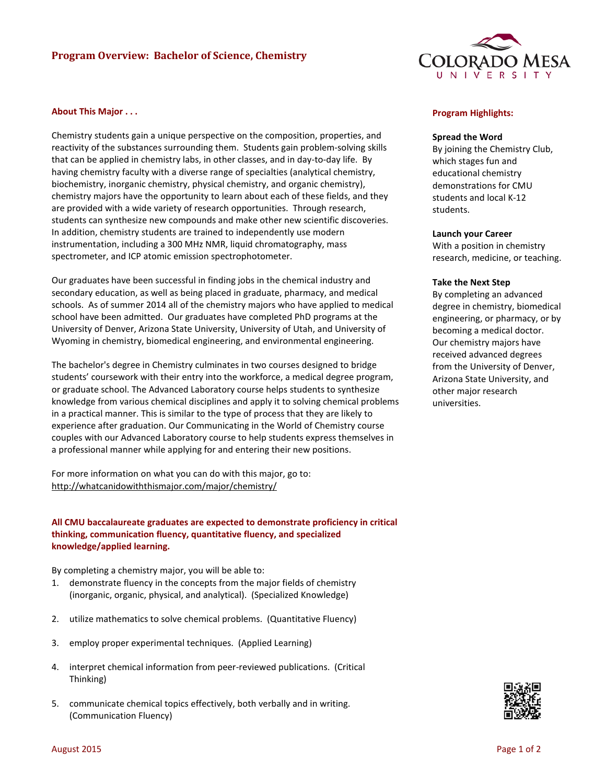# **Program Overview: Bachelor of Science, Chemistry**



### **About This Major . . .**

Chemistry students gain a unique perspective on the composition, properties, and reactivity of the substances surrounding them. Students gain problem-solving skills that can be applied in chemistry labs, in other classes, and in day-to-day life. By having chemistry faculty with a diverse range of specialties (analytical chemistry, biochemistry, inorganic chemistry, physical chemistry, and organic chemistry), chemistry majors have the opportunity to learn about each of these fields, and they are provided with a wide variety of research opportunities. Through research, students can synthesize new compounds and make other new scientific discoveries. In addition, chemistry students are trained to independently use modern instrumentation, including a 300 MHz NMR, liquid chromatography, mass spectrometer, and ICP atomic emission spectrophotometer.

Our graduates have been successful in finding jobs in the chemical industry and secondary education, as well as being placed in graduate, pharmacy, and medical schools. As of summer 2014 all of the chemistry majors who have applied to medical school have been admitted. Our graduates have completed PhD programs at the University of Denver, Arizona State University, University of Utah, and University of Wyoming in chemistry, biomedical engineering, and environmental engineering.

The bachelor's degree in Chemistry culminates in two courses designed to bridge students' coursework with their entry into the workforce, a medical degree program, or graduate school. The Advanced Laboratory course helps students to synthesize knowledge from various chemical disciplines and apply it to solving chemical problems in a practical manner. This is similar to the type of process that they are likely to experience after graduation. Our Communicating in the World of Chemistry course couples with our Advanced Laboratory course to help students express themselves in a professional manner while applying for and entering their new positions.

For more information on what you can do with this major, go to: http://whatcanidowiththismajor.com/major/chemistry/

# **All CMU baccalaureate graduates are expected to demonstrate proficiency in critical thinking, communication fluency, quantitative fluency, and specialized knowledge/applied learning.**

By completing a chemistry major, you will be able to:

- 1. demonstrate fluency in the concepts from the major fields of chemistry (inorganic, organic, physical, and analytical). (Specialized Knowledge)
- 2. utilize mathematics to solve chemical problems. (Quantitative Fluency)
- 3. employ proper experimental techniques. (Applied Learning)
- 4. interpret chemical information from peer-reviewed publications. (Critical Thinking)
- 5. communicate chemical topics effectively, both verbally and in writing. (Communication Fluency)

### **Program Highlights:**

#### **Spread the Word**

By joining the Chemistry Club, which stages fun and educational chemistry demonstrations for CMU students and local K-12 students.

### **Launch your Career**

With a position in chemistry research, medicine, or teaching.

#### **Take the Next Step**

By completing an advanced degree in chemistry, biomedical engineering, or pharmacy, or by becoming a medical doctor. Our chemistry majors have received advanced degrees from the University of Denver, Arizona State University, and other major research universities.